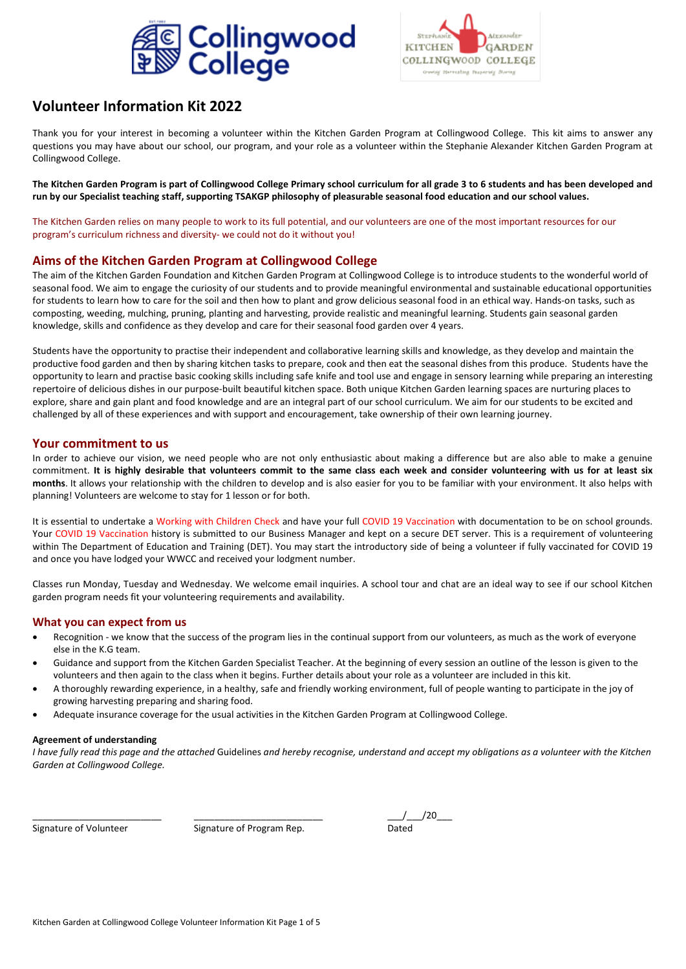



### **Volunteer Information Kit 2022**

Thank you for your interest in becoming a volunteer within the Kitchen Garden Program at Collingwood College. This kit aims to answer any questions you may have about our school, our program, and your role as a volunteer within the Stephanie Alexander Kitchen Garden Program at Collingwood College.

**The Kitchen Garden Program is part of Collingwood College Primary school curriculum for all grade 3 to 6 students and has been developed and run by our Specialist teaching staff, supporting TSAKGP philosophy of pleasurable seasonal food education and our school values.**

The Kitchen Garden relies on many people to work to its full potential, and our volunteers are one of the most important resources for our program's curriculum richness and diversity- we could not do it without you!

#### **Aims of the Kitchen Garden Program at Collingwood College**

The aim of the Kitchen Garden Foundation and Kitchen Garden Program at Collingwood College is to introduce students to the wonderful world of seasonal food. We aim to engage the curiosity of our students and to provide meaningful environmental and sustainable educational opportunities for students to learn how to care for the soil and then how to plant and grow delicious seasonal food in an ethical way. Hands-on tasks, such as composting, weeding, mulching, pruning, planting and harvesting, provide realistic and meaningful learning. Students gain seasonal garden knowledge, skills and confidence as they develop and care for their seasonal food garden over 4 years.

Students have the opportunity to practise their independent and collaborative learning skills and knowledge, as they develop and maintain the productive food garden and then by sharing kitchen tasks to prepare, cook and then eat the seasonal dishes from this produce. Students have the opportunity to learn and practise basic cooking skills including safe knife and tool use and engage in sensory learning while preparing an interesting repertoire of delicious dishes in our purpose-built beautiful kitchen space. Both unique Kitchen Garden learning spaces are nurturing places to explore, share and gain plant and food knowledge and are an integral part of our school curriculum. We aim for our students to be excited and challenged by all of these experiences and with support and encouragement, take ownership of their own learning journey.

#### **Your commitment to us**

In order to achieve our vision, we need people who are not only enthusiastic about making a difference but are also able to make a genuine commitment. **It is highly desirable that volunteers commit to the same class each week and consider volunteering with us for at least six months**. It allows your relationship with the children to develop and is also easier for you to be familiar with your environment. It also helps with planning! Volunteers are welcome to stay for 1 lesson or for both.

It is essential to undertake a Working with Children Check and have your full COVID 19 Vaccination with documentation to be on school grounds. Your COVID 19 Vaccination history is submitted to our Business Manager and kept on a secure DET server. This is a requirement of volunteering within The Department of Education and Training (DET). You may start the introductory side of being a volunteer if fully vaccinated for COVID 19 and once you have lodged your WWCC and received your lodgment number.

Classes run Monday, Tuesday and Wednesday. We welcome email inquiries. A school tour and chat are an ideal way to see if our school Kitchen garden program needs fit your volunteering requirements and availability.

#### **What you can expect from us**

- Recognition we know that the success of the program lies in the continual support from our volunteers, as much as the work of everyone else in the K.G team.
- Guidance and support from the Kitchen Garden Specialist Teacher. At the beginning of every session an outline of the lesson is given to the volunteers and then again to the class when it begins. Further details about your role as a volunteer are included in this kit.
- A thoroughly rewarding experience, in a healthy, safe and friendly working environment, full of people wanting to participate in the joy of growing harvesting preparing and sharing food.
- Adequate insurance coverage for the usual activities in the Kitchen Garden Program at Collingwood College.

#### **Agreement of understanding**

*I have fully read this page and the attached* Guidelines *and hereby recognise, understand and accept my obligations as a volunteer with the Kitchen Garden at Collingwood College.*

Signature of Volunteer Signature of Program Rep. Dated

```
_________________________ _________________________ ___/___/20___
```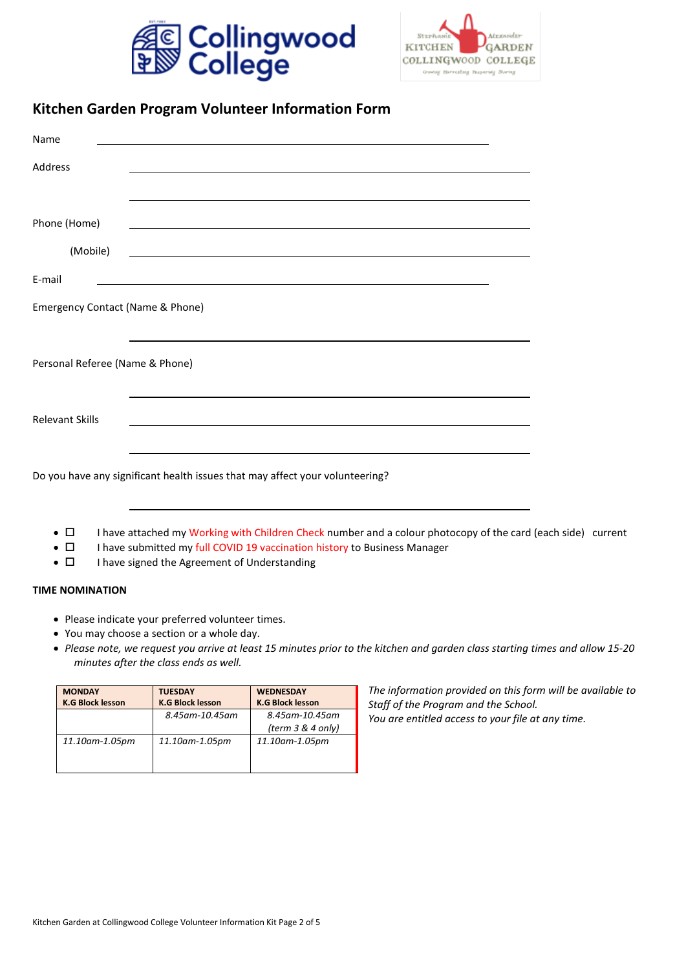



### **Kitchen Garden Program Volunteer Information Form**

| Name                             | <u> 1989 - Johann Stein, mars et al. 1989 - Ann an Carl Branch ann an t-Ann an t-Ann an t-Ann an t-Ann an t-Ann a</u>  |  |
|----------------------------------|------------------------------------------------------------------------------------------------------------------------|--|
| Address                          | <u>a sa barang ang pagbabang nagarang pang</u> alang na manang pangangang nagarang pangangang nagarang pangangang na   |  |
|                                  |                                                                                                                        |  |
| Phone (Home)                     |                                                                                                                        |  |
| (Mobile)                         | <u> 1989 - Johann Stoff, deutscher Stoffen und der Stoffen und der Stoffen und der Stoffen und der Stoffen und der</u> |  |
| E-mail                           | <u> 1989 - Johann Stoff, deutscher Stoffen und der Stoffen und der Stoffen und der Stoffen und der Stoffen und der</u> |  |
| Emergency Contact (Name & Phone) |                                                                                                                        |  |
| Personal Referee (Name & Phone)  |                                                                                                                        |  |
| <b>Relevant Skills</b>           |                                                                                                                        |  |
|                                  | Do you have any significant health issues that may affect your volunteering?                                           |  |
| $\blacksquare$                   | . The computer deal and Marchite and the Abilitary Ability and computer and a relation of computer of the model for    |  |

- $\Box$  I have attached my Working with Children Check number and a colour photocopy of the card (each side) current
- $\Box$  I have submitted my full COVID 19 vaccination history to Business Manager
- $\Box$  I have signed the Agreement of Understanding

#### **TIME NOMINATION**

- Please indicate your preferred volunteer times.
- You may choose a section or a whole day.
- *Please note, we request you arrive at least 15 minutes prior to the kitchen and garden class starting times and allow 15-20 minutes after the class ends as well.*

| <b>MONDAY</b>           | <b>TUESDAY</b>          | <b>WEDNESDAY</b>        |
|-------------------------|-------------------------|-------------------------|
| <b>K.G Block lesson</b> | <b>K.G Block lesson</b> | <b>K.G Block lesson</b> |
|                         | 8.45am-10.45am          | 8.45am-10.45am          |
|                         |                         | (term $3 & 4$ only)     |
| 11.10am-1.05pm          | 11.10am-1.05pm          | 11.10am-1.05pm          |

*The information provided on this form will be available to Staff of the Program and the School. You are entitled access to your file at any time.*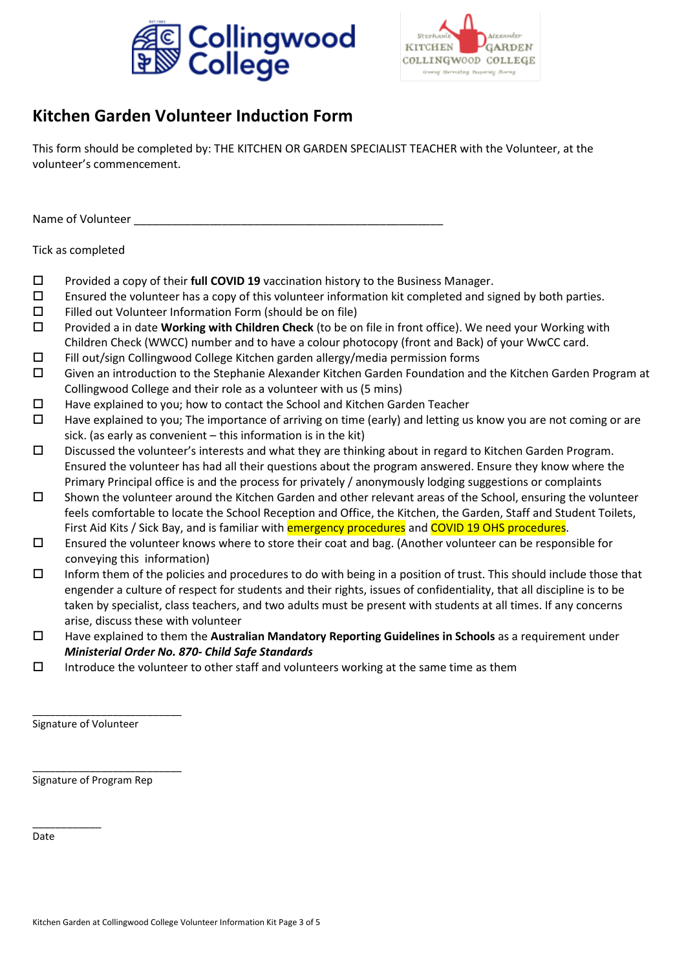



# **Kitchen Garden Volunteer Induction Form**

This form should be completed by: THE KITCHEN OR GARDEN SPECIALIST TEACHER with the Volunteer, at the volunteer's commencement.

Name of Volunteer \_

Tick as completed

- Provided a copy of their **full COVID 19** vaccination history to the Business Manager.
- $\square$  Ensured the volunteer has a copy of this volunteer information kit completed and signed by both parties.
- $\square$  Filled out Volunteer Information Form (should be on file)
- Provided a in date **Working with Children Check** (to be on file in front office). We need your Working with Children Check (WWCC) number and to have a colour photocopy (front and Back) of your WwCC card.
- $\Box$  Fill out/sign Collingwood College Kitchen garden allergy/media permission forms
- Given an introduction to the Stephanie Alexander Kitchen Garden Foundation and the Kitchen Garden Program at Collingwood College and their role as a volunteer with us (5 mins)
- $\Box$  Have explained to you; how to contact the School and Kitchen Garden Teacher
- $\Box$  Have explained to you; The importance of arriving on time (early) and letting us know you are not coming or are sick. (as early as convenient – this information is in the kit)
- Discussed the volunteer's interests and what they are thinking about in regard to Kitchen Garden Program. Ensured the volunteer has had all their questions about the program answered. Ensure they know where the Primary Principal office is and the process for privately / anonymously lodging suggestions or complaints
- $\square$  Shown the volunteer around the Kitchen Garden and other relevant areas of the School, ensuring the volunteer feels comfortable to locate the School Reception and Office, the Kitchen, the Garden, Staff and Student Toilets, First Aid Kits / Sick Bay, and is familiar with emergency procedures and COVID 19 OHS procedures.
- $\square$  Ensured the volunteer knows where to store their coat and bag. (Another volunteer can be responsible for conveying this information)
- $\square$  Inform them of the policies and procedures to do with being in a position of trust. This should include those that engender a culture of respect for students and their rights, issues of confidentiality, that all discipline is to be taken by specialist, class teachers, and two adults must be present with students at all times. If any concerns arise, discuss these with volunteer
- Have explained to them the **Australian Mandatory Reporting Guidelines in Schools** as a requirement under *Ministerial Order No. 870- Child Safe Standards*
- $\square$  Introduce the volunteer to other staff and volunteers working at the same time as them

Signature of Volunteer

\_\_\_\_\_\_\_\_\_\_\_\_\_\_\_\_\_\_\_\_\_\_\_\_\_\_

\_\_\_\_\_\_\_\_\_\_\_\_\_\_\_\_\_\_\_\_\_\_\_\_\_\_

Signature of Program Rep

Date

\_\_\_\_\_\_\_\_\_\_\_\_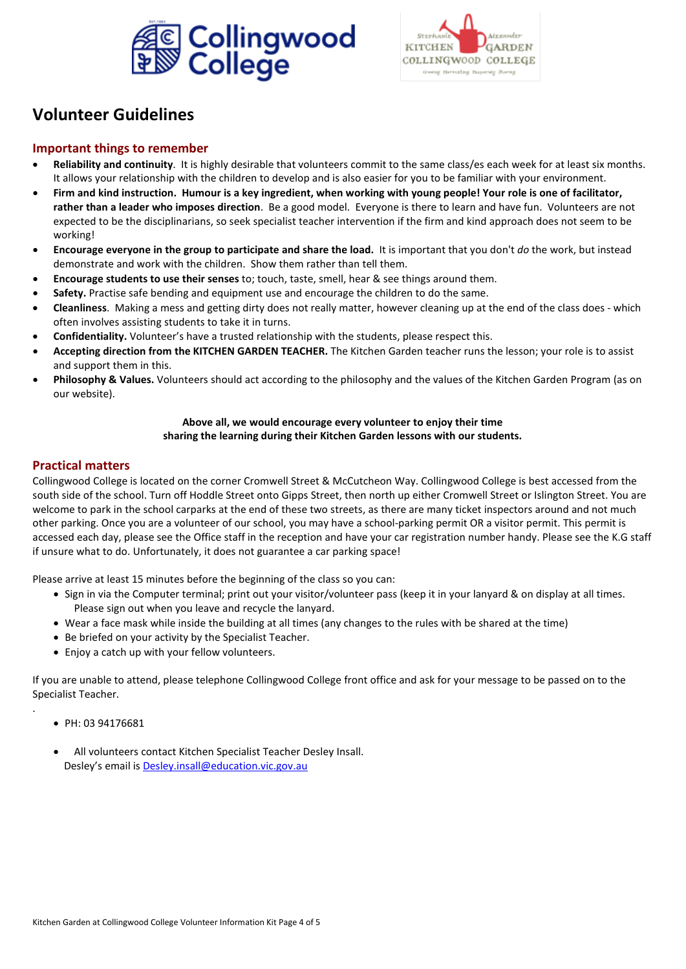



## **Volunteer Guidelines**

#### **Important things to remember**

- **Reliability and continuity**. It is highly desirable that volunteers commit to the same class/es each week for at least six months. It allows your relationship with the children to develop and is also easier for you to be familiar with your environment.
- **Firm and kind instruction. Humour is a key ingredient, when working with young people! Your role is one of facilitator, rather than a leader who imposes direction**. Be a good model. Everyone is there to learn and have fun. Volunteers are not expected to be the disciplinarians, so seek specialist teacher intervention if the firm and kind approach does not seem to be working!
- **Encourage everyone in the group to participate and share the load.** It is important that you don't *do* the work, but instead demonstrate and work with the children. Show them rather than tell them.
- **Encourage students to use their senses** to; touch, taste, smell, hear & see things around them.
- **Safety.** Practise safe bending and equipment use and encourage the children to do the same.
- **Cleanliness**. Making a mess and getting dirty does not really matter, however cleaning up at the end of the class does which often involves assisting students to take it in turns.
- **Confidentiality.** Volunteer's have a trusted relationship with the students, please respect this.
- **Accepting direction from the KITCHEN GARDEN TEACHER.** The Kitchen Garden teacher runs the lesson; your role is to assist and support them in this.
- **Philosophy & Values.** Volunteers should act according to the philosophy and the values of the Kitchen Garden Program (as on our website).

#### **Above all, we would encourage every volunteer to enjoy their time sharing the learning during their Kitchen Garden lessons with our students.**

#### **Practical matters**

Collingwood College is located on the corner Cromwell Street & McCutcheon Way. Collingwood College is best accessed from the south side of the school. Turn off Hoddle Street onto Gipps Street, then north up either Cromwell Street or Islington Street. You are welcome to park in the school carparks at the end of these two streets, as there are many ticket inspectors around and not much other parking. Once you are a volunteer of our school, you may have a school-parking permit OR a visitor permit. This permit is accessed each day, please see the Office staff in the reception and have your car registration number handy. Please see the K.G staff if unsure what to do. Unfortunately, it does not guarantee a car parking space!

Please arrive at least 15 minutes before the beginning of the class so you can:

- Sign in via the Computer terminal; print out your visitor/volunteer pass (keep it in your lanyard & on display at all times. Please sign out when you leave and recycle the lanyard.
- Wear a face mask while inside the building at all times (any changes to the rules with be shared at the time)
- Be briefed on your activity by the Specialist Teacher.
- Enjoy a catch up with your fellow volunteers.

If you are unable to attend, please telephone Collingwood College front office and ask for your message to be passed on to the Specialist Teacher.

• PH: 03 94176681

.

• All volunteers contact Kitchen Specialist Teacher Desley Insall. Desley's email is [Desley.insall@education.vic.gov.au](mailto:Desley.insall@education.vic.gov.au)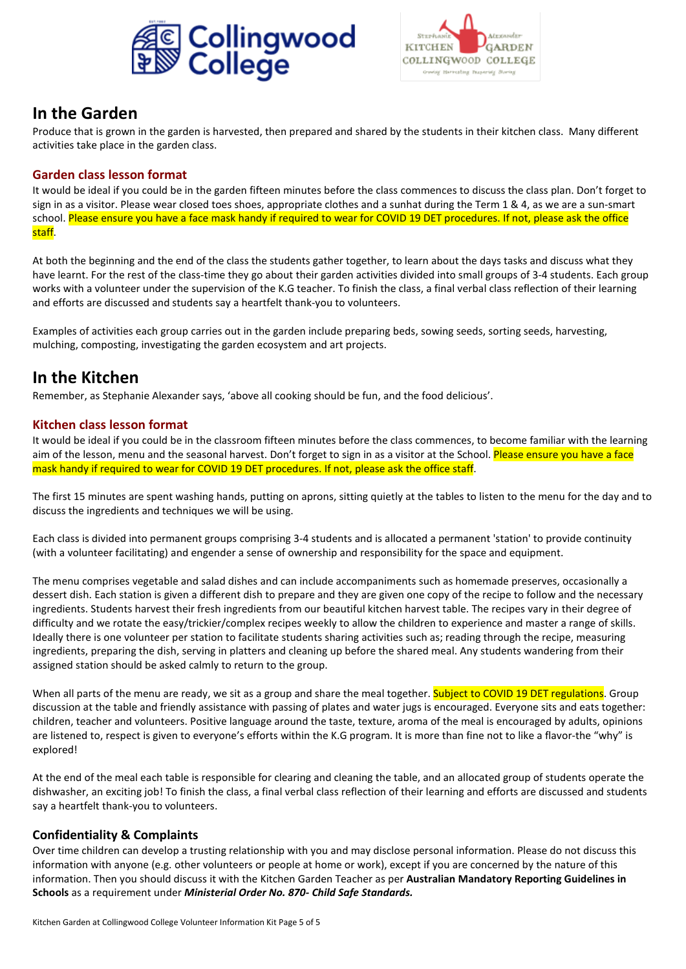



## **In the Garden**

Produce that is grown in the garden is harvested, then prepared and shared by the students in their kitchen class. Many different activities take place in the garden class.

### **Garden class lesson format**

It would be ideal if you could be in the garden fifteen minutes before the class commences to discuss the class plan. Don't forget to sign in as a visitor. Please wear closed toes shoes, appropriate clothes and a sunhat during the Term 1 & 4, as we are a sun-smart school. Please ensure you have a face mask handy if required to wear for COVID 19 DET procedures. If not, please ask the office staff.

At both the beginning and the end of the class the students gather together, to learn about the days tasks and discuss what they have learnt. For the rest of the class-time they go about their garden activities divided into small groups of 3-4 students. Each group works with a volunteer under the supervision of the K.G teacher. To finish the class, a final verbal class reflection of their learning and efforts are discussed and students say a heartfelt thank-you to volunteers.

Examples of activities each group carries out in the garden include preparing beds, sowing seeds, sorting seeds, harvesting, mulching, composting, investigating the garden ecosystem and art projects.

### **In the Kitchen**

Remember, as Stephanie Alexander says, 'above all cooking should be fun, and the food delicious'.

#### **Kitchen class lesson format**

It would be ideal if you could be in the classroom fifteen minutes before the class commences, to become familiar with the learning aim of the lesson, menu and the seasonal harvest. Don't forget to sign in as a visitor at the School. Please ensure you have a face mask handy if required to wear for COVID 19 DET procedures. If not, please ask the office staff.

The first 15 minutes are spent washing hands, putting on aprons, sitting quietly at the tables to listen to the menu for the day and to discuss the ingredients and techniques we will be using.

Each class is divided into permanent groups comprising 3-4 students and is allocated a permanent 'station' to provide continuity (with a volunteer facilitating) and engender a sense of ownership and responsibility for the space and equipment.

The menu comprises vegetable and salad dishes and can include accompaniments such as homemade preserves, occasionally a dessert dish. Each station is given a different dish to prepare and they are given one copy of the recipe to follow and the necessary ingredients. Students harvest their fresh ingredients from our beautiful kitchen harvest table. The recipes vary in their degree of difficulty and we rotate the easy/trickier/complex recipes weekly to allow the children to experience and master a range of skills. Ideally there is one volunteer per station to facilitate students sharing activities such as; reading through the recipe, measuring ingredients, preparing the dish, serving in platters and cleaning up before the shared meal. Any students wandering from their assigned station should be asked calmly to return to the group.

When all parts of the menu are ready, we sit as a group and share the meal together. Subject to COVID 19 DET regulations. Group discussion at the table and friendly assistance with passing of plates and water jugs is encouraged. Everyone sits and eats together: children, teacher and volunteers. Positive language around the taste, texture, aroma of the meal is encouraged by adults, opinions are listened to, respect is given to everyone's efforts within the K.G program. It is more than fine not to like a flavor-the "why" is explored!

At the end of the meal each table is responsible for clearing and cleaning the table, and an allocated group of students operate the dishwasher, an exciting job! To finish the class, a final verbal class reflection of their learning and efforts are discussed and students say a heartfelt thank-you to volunteers.

### **Confidentiality & Complaints**

Over time children can develop a trusting relationship with you and may disclose personal information. Please do not discuss this information with anyone (e.g. other volunteers or people at home or work), except if you are concerned by the nature of this information. Then you should discuss it with the Kitchen Garden Teacher as per **Australian Mandatory Reporting Guidelines in Schools** as a requirement under *Ministerial Order No. 870- Child Safe Standards.*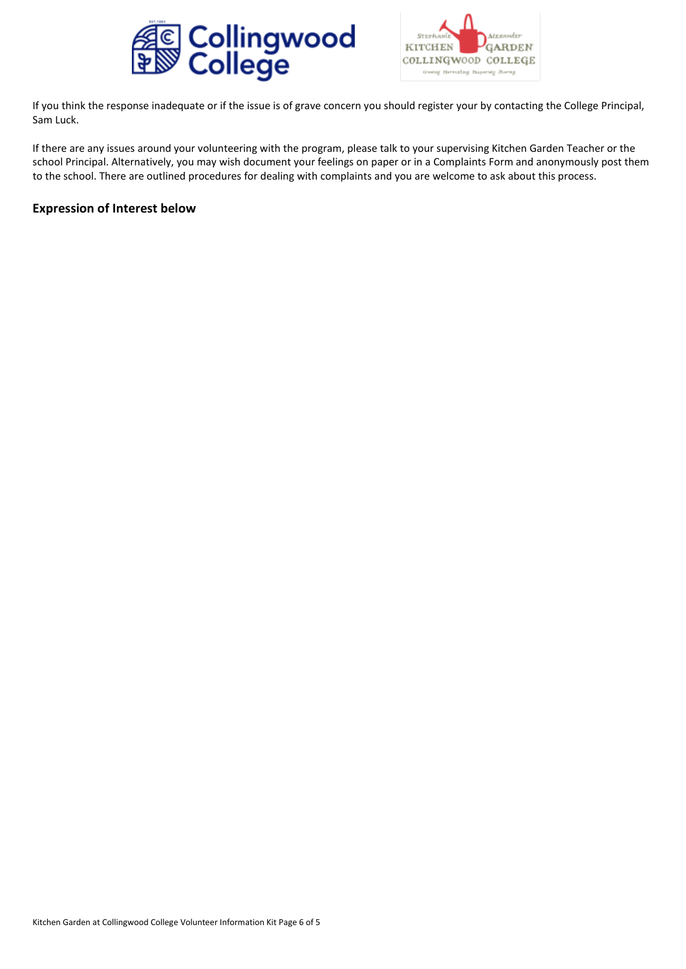



If you think the response inadequate or if the issue is of grave concern you should register your by contacting the College Principal, Sam Luck.

If there are any issues around your volunteering with the program, please talk to your supervising Kitchen Garden Teacher or the school Principal. Alternatively, you may wish document your feelings on paper or in a Complaints Form and anonymously post them to the school. There are outlined procedures for dealing with complaints and you are welcome to ask about this process.

#### **Expression of Interest below**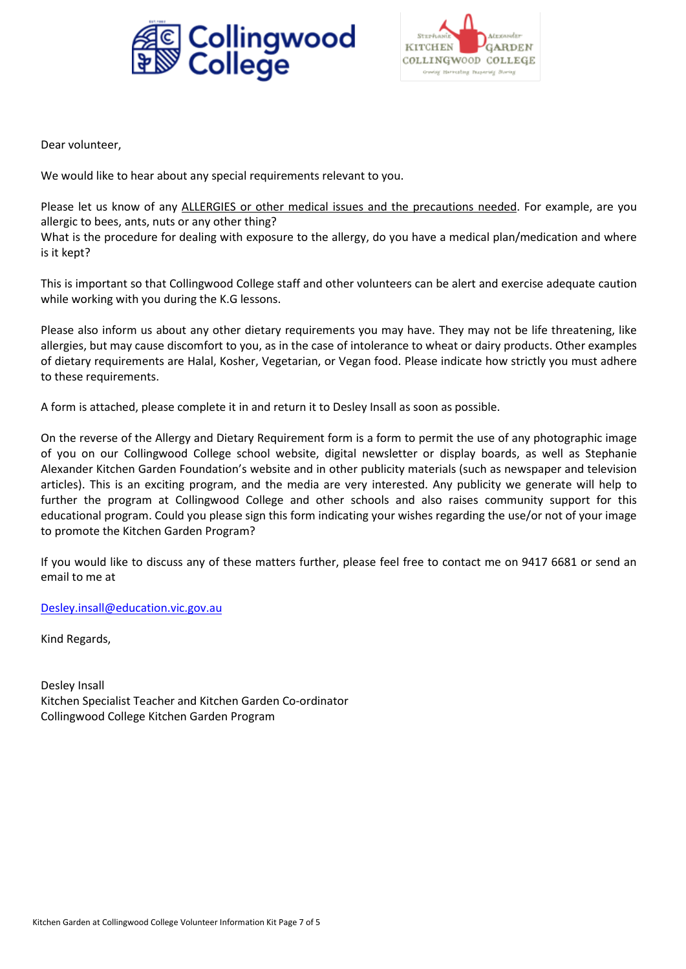



Dear volunteer,

We would like to hear about any special requirements relevant to you.

Please let us know of any ALLERGIES or other medical issues and the precautions needed. For example, are you allergic to bees, ants, nuts or any other thing? What is the procedure for dealing with exposure to the allergy, do you have a medical plan/medication and where is it kept?

This is important so that Collingwood College staff and other volunteers can be alert and exercise adequate caution while working with you during the K.G lessons.

Please also inform us about any other dietary requirements you may have. They may not be life threatening, like allergies, but may cause discomfort to you, as in the case of intolerance to wheat or dairy products. Other examples of dietary requirements are Halal, Kosher, Vegetarian, or Vegan food. Please indicate how strictly you must adhere to these requirements.

A form is attached, please complete it in and return it to Desley Insall as soon as possible.

On the reverse of the Allergy and Dietary Requirement form is a form to permit the use of any photographic image of you on our Collingwood College school website, digital newsletter or display boards, as well as Stephanie Alexander Kitchen Garden Foundation's website and in other publicity materials (such as newspaper and television articles). This is an exciting program, and the media are very interested. Any publicity we generate will help to further the program at Collingwood College and other schools and also raises community support for this educational program. Could you please sign this form indicating your wishes regarding the use/or not of your image to promote the Kitchen Garden Program?

If you would like to discuss any of these matters further, please feel free to contact me on 9417 6681 or send an email to me at

[Desley.insall@education.vic.gov.au](mailto:Desley.insall@education.vic.gov.au)

Kind Regards,

Desley Insall Kitchen Specialist Teacher and Kitchen Garden Co-ordinator Collingwood College Kitchen Garden Program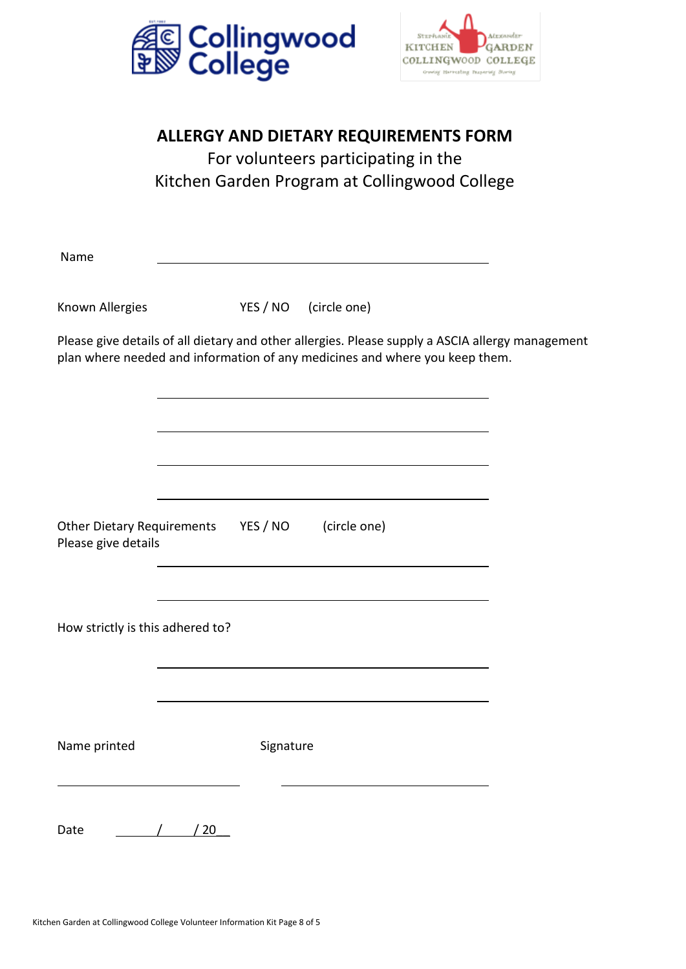



## **ALLERGY AND DIETARY REQUIREMENTS FORM**

For volunteers participating in the Kitchen Garden Program at Collingwood College

Name

Known Allergies YES / NO (circle one)

Please give details of all dietary and other allergies. Please supply a ASCIA allergy management plan where needed and information of any medicines and where you keep them.

Other Dietary Requirements YES / NO (circle one) Please give details

How strictly is this adhered to?

Name printed Signature

Date / / 20